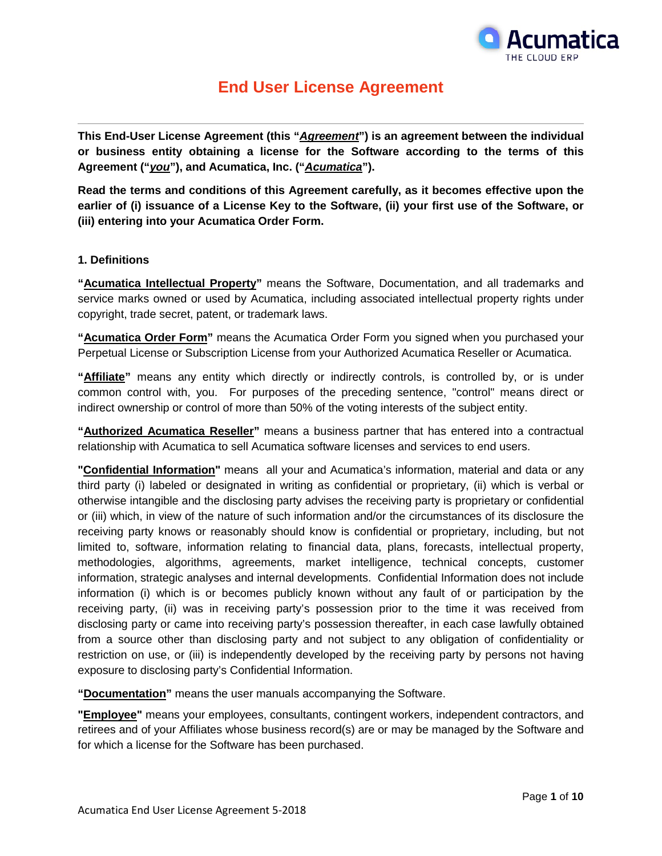

# **End User License Agreement**

**This End-User License Agreement (this "***Agreement***") is an agreement between the individual or business entity obtaining a license for the Software according to the terms of this Agreement ("***you***"), and Acumatica, Inc. ("***Acumatica***").** 

**Read the terms and conditions of this Agreement carefully, as it becomes effective upon the earlier of (i) issuance of a License Key to the Software, (ii) your first use of the Software, or (iii) entering into your Acumatica Order Form.**

# **1. Definitions**

**"Acumatica Intellectual Property"** means the Software, Documentation, and all trademarks and service marks owned or used by Acumatica, including associated intellectual property rights under copyright, trade secret, patent, or trademark laws.

**"Acumatica Order Form"** means the Acumatica Order Form you signed when you purchased your Perpetual License or Subscription License from your Authorized Acumatica Reseller or Acumatica.

**"Affiliate"** means any entity which directly or indirectly controls, is controlled by, or is under common control with, you. For purposes of the preceding sentence, "control" means direct or indirect ownership or control of more than 50% of the voting interests of the subject entity.

**"Authorized Acumatica Reseller"** means a business partner that has entered into a contractual relationship with Acumatica to sell Acumatica software licenses and services to end users.

**"Confidential Information"** means all your and Acumatica's information, material and data or any third party (i) labeled or designated in writing as confidential or proprietary, (ii) which is verbal or otherwise intangible and the disclosing party advises the receiving party is proprietary or confidential or (iii) which, in view of the nature of such information and/or the circumstances of its disclosure the receiving party knows or reasonably should know is confidential or proprietary, including, but not limited to, software, information relating to financial data, plans, forecasts, intellectual property, methodologies, algorithms, agreements, market intelligence, technical concepts, customer information, strategic analyses and internal developments. Confidential Information does not include information (i) which is or becomes publicly known without any fault of or participation by the receiving party, (ii) was in receiving party's possession prior to the time it was received from disclosing party or came into receiving party's possession thereafter, in each case lawfully obtained from a source other than disclosing party and not subject to any obligation of confidentiality or restriction on use, or (iii) is independently developed by the receiving party by persons not having exposure to disclosing party's Confidential Information.

**"Documentation"** means the user manuals accompanying the Software.

**"Employee"** means your employees, consultants, contingent workers, independent contractors, and retirees and of your Affiliates whose business record(s) are or may be managed by the Software and for which a license for the Software has been purchased.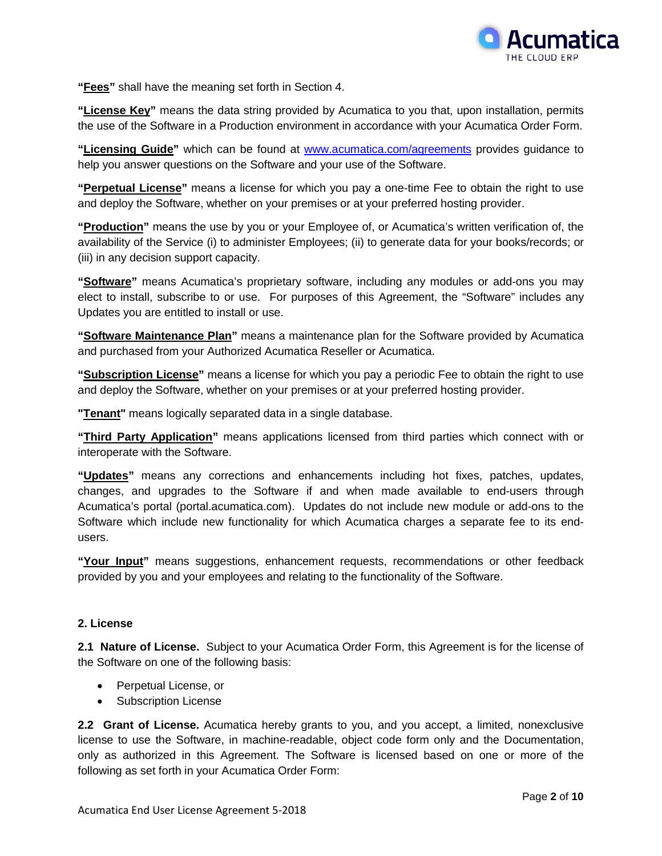

**"Fees"** shall have the meaning set forth in Section 4.

**"License Key"** means the data string provided by Acumatica to you that, upon installation, permits the use of the Software in a Production environment in accordance with your Acumatica Order Form.

**"Licensing Guide"** which can be found at [www.acumatica.com/agreements](http://www.acumatica.com___/) provides guidance to help you answer questions on the Software and your use of the Software.

**"Perpetual License"** means a license for which you pay a one-time Fee to obtain the right to use and deploy the Software, whether on your premises or at your preferred hosting provider.

**"Production"** means the use by you or your Employee of, or Acumatica's written verification of, the availability of the Service (i) to administer Employees; (ii) to generate data for your books/records; or (iii) in any decision support capacity.

**"Software"** means Acumatica's proprietary software, including any modules or add-ons you may elect to install, subscribe to or use. For purposes of this Agreement, the "Software" includes any Updates you are entitled to install or use.

**"Software Maintenance Plan"** means a maintenance plan for the Software provided by Acumatica and purchased from your Authorized Acumatica Reseller or Acumatica.

**"Subscription License"** means a license for which you pay a periodic Fee to obtain the right to use and deploy the Software, whether on your premises or at your preferred hosting provider.

**"Tenant"** means logically separated data in a single database.

**"Third Party Application"** means applications licensed from third parties which connect with or interoperate with the Software.

**"Updates"** means any corrections and enhancements including hot fixes, patches, updates, changes, and upgrades to the Software if and when made available to end-users through Acumatica's portal (portal.acumatica.com). Updates do not include new module or add-ons to the Software which include new functionality for which Acumatica charges a separate fee to its endusers.

**"Your Input"** means suggestions, enhancement requests, recommendations or other feedback provided by you and your employees and relating to the functionality of the Software.

# **2. License**

**2.1 Nature of License.** Subject to your Acumatica Order Form, this Agreement is for the license of the Software on one of the following basis:

- Perpetual License, or
- Subscription License

**2.2 Grant of License.** Acumatica hereby grants to you, and you accept, a limited, nonexclusive license to use the Software, in machine-readable, object code form only and the Documentation, only as authorized in this Agreement. The Software is licensed based on one or more of the following as set forth in your Acumatica Order Form: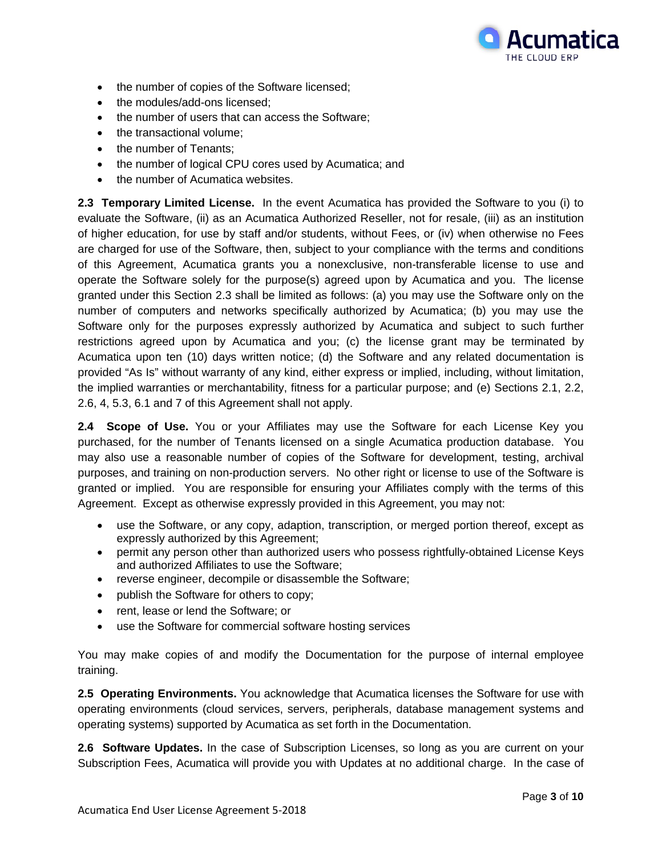

- the number of copies of the Software licensed;
- the modules/add-ons licensed;
- the number of users that can access the Software;
- the transactional volume:
- the number of Tenants;
- the number of logical CPU cores used by Acumatica; and
- the number of Acumatica websites.

**2.3 Temporary Limited License.** In the event Acumatica has provided the Software to you (i) to evaluate the Software, (ii) as an Acumatica Authorized Reseller, not for resale, (iii) as an institution of higher education, for use by staff and/or students, without Fees, or (iv) when otherwise no Fees are charged for use of the Software, then, subject to your compliance with the terms and conditions of this Agreement, Acumatica grants you a nonexclusive, non-transferable license to use and operate the Software solely for the purpose(s) agreed upon by Acumatica and you. The license granted under this Section 2.3 shall be limited as follows: (a) you may use the Software only on the number of computers and networks specifically authorized by Acumatica; (b) you may use the Software only for the purposes expressly authorized by Acumatica and subject to such further restrictions agreed upon by Acumatica and you; (c) the license grant may be terminated by Acumatica upon ten (10) days written notice; (d) the Software and any related documentation is provided "As Is" without warranty of any kind, either express or implied, including, without limitation, the implied warranties or merchantability, fitness for a particular purpose; and (e) Sections 2.1, 2.2, 2.6, 4, 5.3, 6.1 and 7 of this Agreement shall not apply.

**2.4 Scope of Use.** You or your Affiliates may use the Software for each License Key you purchased, for the number of Tenants licensed on a single Acumatica production database. You may also use a reasonable number of copies of the Software for development, testing, archival purposes, and training on non-production servers. No other right or license to use of the Software is granted or implied. You are responsible for ensuring your Affiliates comply with the terms of this Agreement. Except as otherwise expressly provided in this Agreement, you may not:

- use the Software, or any copy, adaption, transcription, or merged portion thereof, except as expressly authorized by this Agreement;
- permit any person other than authorized users who possess rightfully-obtained License Keys and authorized Affiliates to use the Software;
- reverse engineer, decompile or disassemble the Software;
- publish the Software for others to copy;
- rent, lease or lend the Software; or
- use the Software for commercial software hosting services

You may make copies of and modify the Documentation for the purpose of internal employee training.

**2.5 Operating Environments.** You acknowledge that Acumatica licenses the Software for use with operating environments (cloud services, servers, peripherals, database management systems and operating systems) supported by Acumatica as set forth in the Documentation.

**2.6 Software Updates.** In the case of Subscription Licenses, so long as you are current on your Subscription Fees, Acumatica will provide you with Updates at no additional charge. In the case of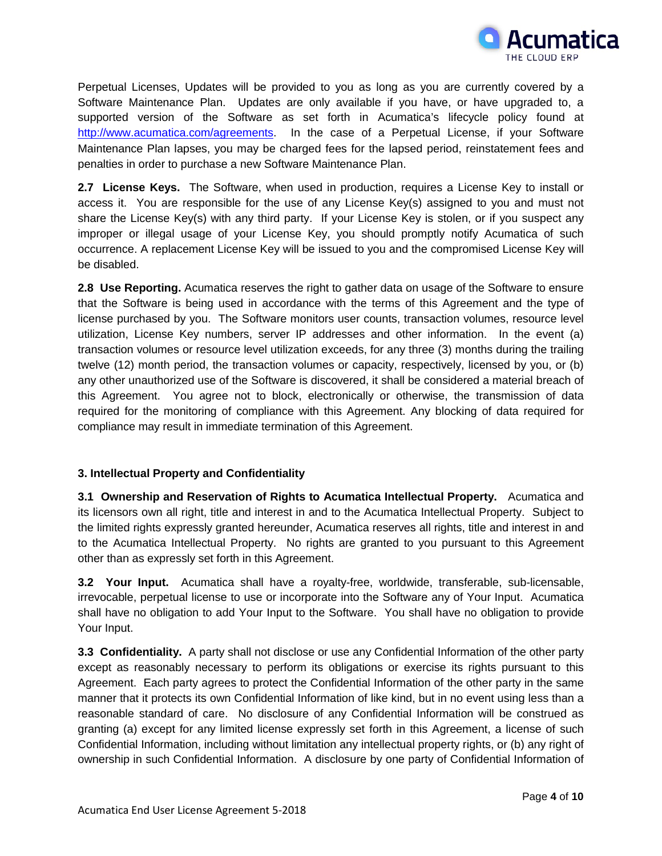

Perpetual Licenses, Updates will be provided to you as long as you are currently covered by a Software Maintenance Plan. Updates are only available if you have, or have upgraded to, a supported version of the Software as set forth in Acumatica's lifecycle policy found at [http://www.acumatica.com/agreements.](http://www.acumatica.com/agreements) In the case of a Perpetual License, if your Software Maintenance Plan lapses, you may be charged fees for the lapsed period, reinstatement fees and penalties in order to purchase a new Software Maintenance Plan.

**2.7 License Keys.** The Software, when used in production, requires a License Key to install or access it. You are responsible for the use of any License Key(s) assigned to you and must not share the License Key(s) with any third party. If your License Key is stolen, or if you suspect any improper or illegal usage of your License Key, you should promptly notify Acumatica of such occurrence. A replacement License Key will be issued to you and the compromised License Key will be disabled.

**2.8 Use Reporting.** Acumatica reserves the right to gather data on usage of the Software to ensure that the Software is being used in accordance with the terms of this Agreement and the type of license purchased by you. The Software monitors user counts, transaction volumes, resource level utilization, License Key numbers, server IP addresses and other information. In the event (a) transaction volumes or resource level utilization exceeds, for any three (3) months during the trailing twelve (12) month period, the transaction volumes or capacity, respectively, licensed by you, or (b) any other unauthorized use of the Software is discovered, it shall be considered a material breach of this Agreement. You agree not to block, electronically or otherwise, the transmission of data required for the monitoring of compliance with this Agreement. Any blocking of data required for compliance may result in immediate termination of this Agreement.

# **3. Intellectual Property and Confidentiality**

**3.1 Ownership and Reservation of Rights to Acumatica Intellectual Property.** Acumatica and its licensors own all right, title and interest in and to the Acumatica Intellectual Property. Subject to the limited rights expressly granted hereunder, Acumatica reserves all rights, title and interest in and to the Acumatica Intellectual Property. No rights are granted to you pursuant to this Agreement other than as expressly set forth in this Agreement.

**3.2 Your Input.** Acumatica shall have a royalty-free, worldwide, transferable, sub-licensable, irrevocable, perpetual license to use or incorporate into the Software any of Your Input. Acumatica shall have no obligation to add Your Input to the Software. You shall have no obligation to provide Your Input.

**3.3 Confidentiality.** A party shall not disclose or use any Confidential Information of the other party except as reasonably necessary to perform its obligations or exercise its rights pursuant to this Agreement. Each party agrees to protect the Confidential Information of the other party in the same manner that it protects its own Confidential Information of like kind, but in no event using less than a reasonable standard of care. No disclosure of any Confidential Information will be construed as granting (a) except for any limited license expressly set forth in this Agreement, a license of such Confidential Information, including without limitation any intellectual property rights, or (b) any right of ownership in such Confidential Information. A disclosure by one party of Confidential Information of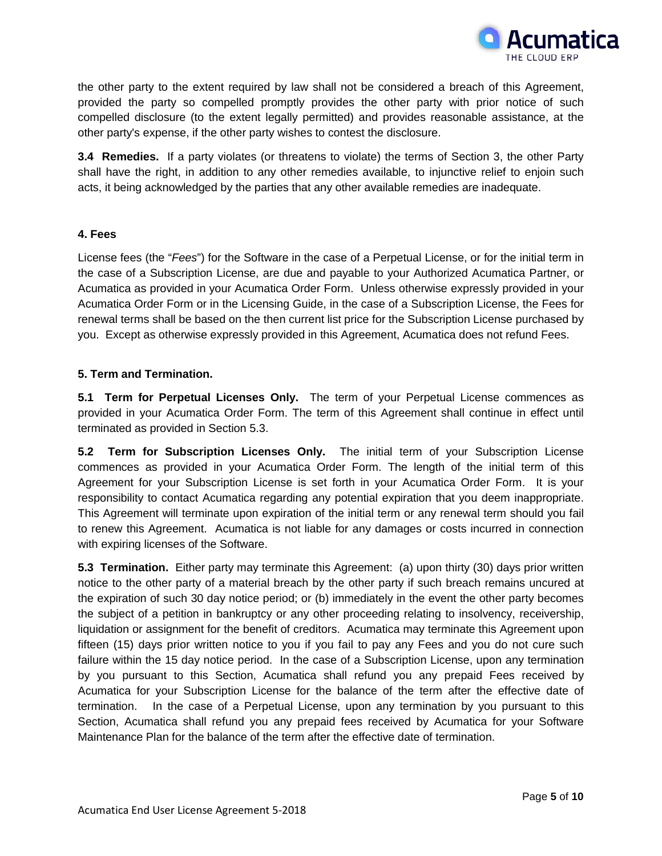

the other party to the extent required by law shall not be considered a breach of this Agreement, provided the party so compelled promptly provides the other party with prior notice of such compelled disclosure (to the extent legally permitted) and provides reasonable assistance, at the other party's expense, if the other party wishes to contest the disclosure.

**3.4 Remedies.** If a party violates (or threatens to violate) the terms of Section 3, the other Party shall have the right, in addition to any other remedies available, to injunctive relief to enjoin such acts, it being acknowledged by the parties that any other available remedies are inadequate.

# **4. Fees**

License fees (the "*Fees*") for the Software in the case of a Perpetual License, or for the initial term in the case of a Subscription License, are due and payable to your Authorized Acumatica Partner, or Acumatica as provided in your Acumatica Order Form. Unless otherwise expressly provided in your Acumatica Order Form or in the Licensing Guide, in the case of a Subscription License, the Fees for renewal terms shall be based on the then current list price for the Subscription License purchased by you. Except as otherwise expressly provided in this Agreement, Acumatica does not refund Fees.

# **5. Term and Termination.**

**5.1 Term for Perpetual Licenses Only.** The term of your Perpetual License commences as provided in your Acumatica Order Form. The term of this Agreement shall continue in effect until terminated as provided in Section 5.3.

**5.2 Term for Subscription Licenses Only.** The initial term of your Subscription License commences as provided in your Acumatica Order Form. The length of the initial term of this Agreement for your Subscription License is set forth in your Acumatica Order Form. It is your responsibility to contact Acumatica regarding any potential expiration that you deem inappropriate. This Agreement will terminate upon expiration of the initial term or any renewal term should you fail to renew this Agreement. Acumatica is not liable for any damages or costs incurred in connection with expiring licenses of the Software.

**5.3 Termination.** Either party may terminate this Agreement: (a) upon thirty (30) days prior written notice to the other party of a material breach by the other party if such breach remains uncured at the expiration of such 30 day notice period; or (b) immediately in the event the other party becomes the subject of a petition in bankruptcy or any other proceeding relating to insolvency, receivership, liquidation or assignment for the benefit of creditors. Acumatica may terminate this Agreement upon fifteen (15) days prior written notice to you if you fail to pay any Fees and you do not cure such failure within the 15 day notice period. In the case of a Subscription License, upon any termination by you pursuant to this Section, Acumatica shall refund you any prepaid Fees received by Acumatica for your Subscription License for the balance of the term after the effective date of termination. In the case of a Perpetual License, upon any termination by you pursuant to this Section, Acumatica shall refund you any prepaid fees received by Acumatica for your Software Maintenance Plan for the balance of the term after the effective date of termination.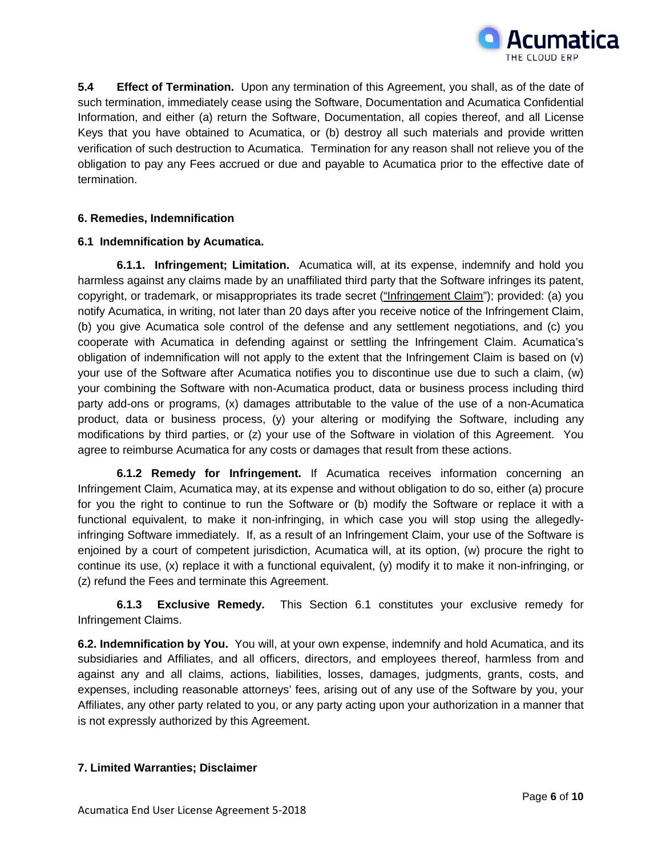

**5.4 Effect of Termination.** Upon any termination of this Agreement, you shall, as of the date of such termination, immediately cease using the Software, Documentation and Acumatica Confidential Information, and either (a) return the Software, Documentation, all copies thereof, and all License Keys that you have obtained to Acumatica, or (b) destroy all such materials and provide written verification of such destruction to Acumatica. Termination for any reason shall not relieve you of the obligation to pay any Fees accrued or due and payable to Acumatica prior to the effective date of termination.

# **6. Remedies, Indemnification**

# **6.1 Indemnification by Acumatica.**

**6.1.1. Infringement; Limitation.** Acumatica will, at its expense, indemnify and hold you harmless against any claims made by an unaffiliated third party that the Software infringes its patent, copyright, or trademark, or misappropriates its trade secret ("Infringement Claim"); provided: (a) you notify Acumatica, in writing, not later than 20 days after you receive notice of the Infringement Claim, (b) you give Acumatica sole control of the defense and any settlement negotiations, and (c) you cooperate with Acumatica in defending against or settling the Infringement Claim. Acumatica's obligation of indemnification will not apply to the extent that the Infringement Claim is based on (v) your use of the Software after Acumatica notifies you to discontinue use due to such a claim, (w) your combining the Software with non-Acumatica product, data or business process including third party add-ons or programs, (x) damages attributable to the value of the use of a non-Acumatica product, data or business process, (y) your altering or modifying the Software, including any modifications by third parties, or (z) your use of the Software in violation of this Agreement. You agree to reimburse Acumatica for any costs or damages that result from these actions.

**6.1.2 Remedy for Infringement.** If Acumatica receives information concerning an Infringement Claim, Acumatica may, at its expense and without obligation to do so, either (a) procure for you the right to continue to run the Software or (b) modify the Software or replace it with a functional equivalent, to make it non-infringing, in which case you will stop using the allegedlyinfringing Software immediately. If, as a result of an Infringement Claim, your use of the Software is enjoined by a court of competent jurisdiction, Acumatica will, at its option, (w) procure the right to continue its use, (x) replace it with a functional equivalent, (y) modify it to make it non-infringing, or (z) refund the Fees and terminate this Agreement.

**6.1.3 Exclusive Remedy.** This Section 6.1 constitutes your exclusive remedy for Infringement Claims.

**6.2. Indemnification by You.** You will, at your own expense, indemnify and hold Acumatica, and its subsidiaries and Affiliates, and all officers, directors, and employees thereof, harmless from and against any and all claims, actions, liabilities, losses, damages, judgments, grants, costs, and expenses, including reasonable attorneys' fees, arising out of any use of the Software by you, your Affiliates, any other party related to you, or any party acting upon your authorization in a manner that is not expressly authorized by this Agreement.

# **7. Limited Warranties; Disclaimer**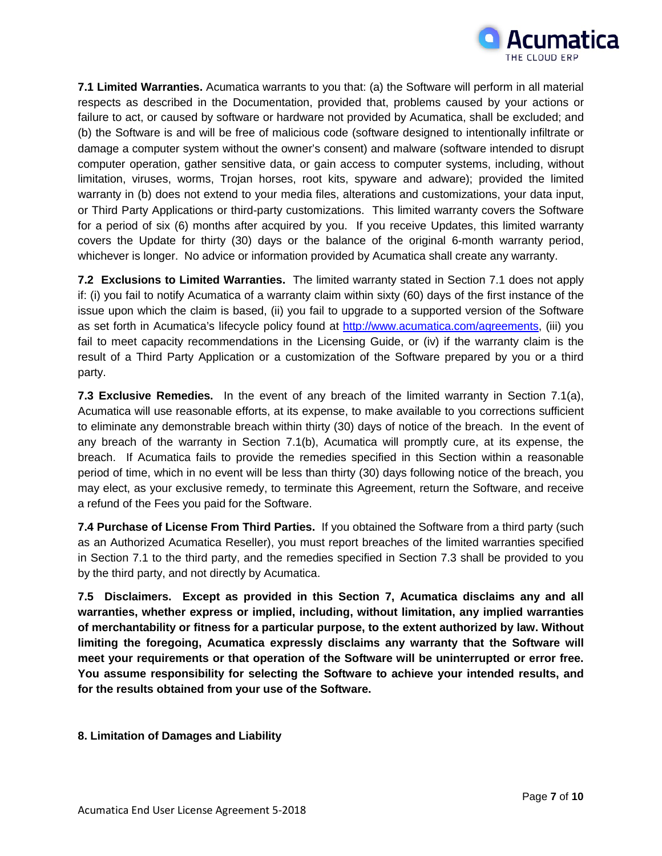

**7.1 Limited Warranties.** Acumatica warrants to you that: (a) the Software will perform in all material respects as described in the Documentation, provided that, problems caused by your actions or failure to act, or caused by software or hardware not provided by Acumatica, shall be excluded; and (b) the Software is and will be free of malicious code (software designed to intentionally infiltrate or damage a computer system without the owner's consent) and malware (software intended to disrupt computer operation, gather sensitive data, or gain access to computer systems, including, without limitation, viruses, worms, Trojan horses, root kits, spyware and adware); provided the limited warranty in (b) does not extend to your media files, alterations and customizations, your data input, or Third Party Applications or third-party customizations. This limited warranty covers the Software for a period of six (6) months after acquired by you. If you receive Updates, this limited warranty covers the Update for thirty (30) days or the balance of the original 6-month warranty period, whichever is longer. No advice or information provided by Acumatica shall create any warranty.

**7.2 Exclusions to Limited Warranties.** The limited warranty stated in Section 7.1 does not apply if: (i) you fail to notify Acumatica of a warranty claim within sixty (60) days of the first instance of the issue upon which the claim is based, (ii) you fail to upgrade to a supported version of the Software as set forth in Acumatica's lifecycle policy found at [http://www.acumatica.com/agreements,](http://www.acumatica.com/agreements) (iii) you fail to meet capacity recommendations in the Licensing Guide, or (iv) if the warranty claim is the result of a Third Party Application or a customization of the Software prepared by you or a third party.

**7.3 Exclusive Remedies.** In the event of any breach of the limited warranty in Section 7.1(a), Acumatica will use reasonable efforts, at its expense, to make available to you corrections sufficient to eliminate any demonstrable breach within thirty (30) days of notice of the breach. In the event of any breach of the warranty in Section 7.1(b), Acumatica will promptly cure, at its expense, the breach. If Acumatica fails to provide the remedies specified in this Section within a reasonable period of time, which in no event will be less than thirty (30) days following notice of the breach, you may elect, as your exclusive remedy, to terminate this Agreement, return the Software, and receive a refund of the Fees you paid for the Software.

**7.4 Purchase of License From Third Parties.** If you obtained the Software from a third party (such as an Authorized Acumatica Reseller), you must report breaches of the limited warranties specified in Section 7.1 to the third party, and the remedies specified in Section 7.3 shall be provided to you by the third party, and not directly by Acumatica.

**7.5 Disclaimers. Except as provided in this Section 7, Acumatica disclaims any and all warranties, whether express or implied, including, without limitation, any implied warranties of merchantability or fitness for a particular purpose, to the extent authorized by law. Without limiting the foregoing, Acumatica expressly disclaims any warranty that the Software will meet your requirements or that operation of the Software will be uninterrupted or error free. You assume responsibility for selecting the Software to achieve your intended results, and for the results obtained from your use of the Software.**

# **8. Limitation of Damages and Liability**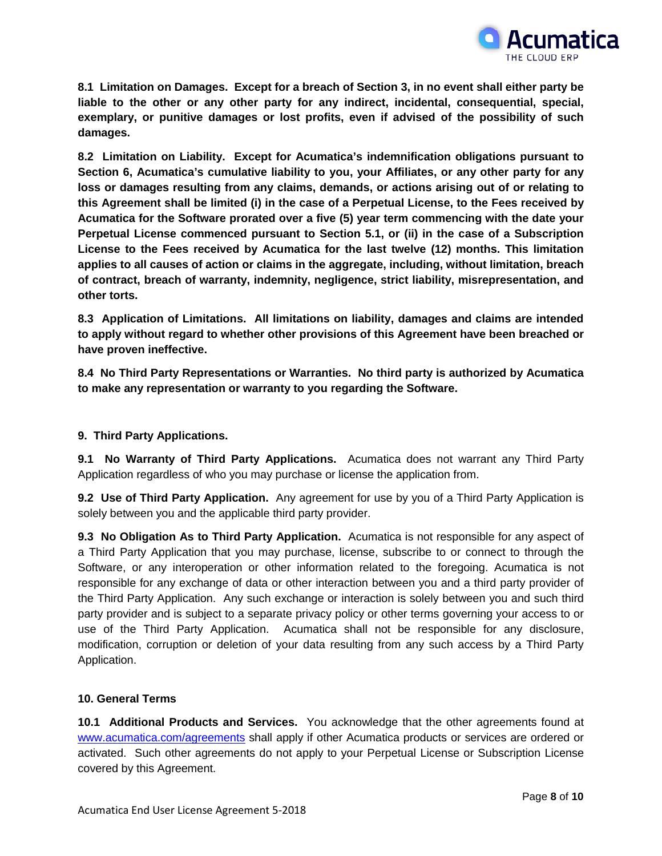

**8.1 Limitation on Damages. Except for a breach of Section 3, in no event shall either party be liable to the other or any other party for any indirect, incidental, consequential, special, exemplary, or punitive damages or lost profits, even if advised of the possibility of such damages.**

**8.2 Limitation on Liability. Except for Acumatica's indemnification obligations pursuant to Section 6, Acumatica's cumulative liability to you, your Affiliates, or any other party for any loss or damages resulting from any claims, demands, or actions arising out of or relating to this Agreement shall be limited (i) in the case of a Perpetual License, to the Fees received by Acumatica for the Software prorated over a five (5) year term commencing with the date your Perpetual License commenced pursuant to Section 5.1, or (ii) in the case of a Subscription License to the Fees received by Acumatica for the last twelve (12) months. This limitation applies to all causes of action or claims in the aggregate, including, without limitation, breach of contract, breach of warranty, indemnity, negligence, strict liability, misrepresentation, and other torts.** 

**8.3 Application of Limitations. All limitations on liability, damages and claims are intended to apply without regard to whether other provisions of this Agreement have been breached or have proven ineffective.**

**8.4 No Third Party Representations or Warranties. No third party is authorized by Acumatica to make any representation or warranty to you regarding the Software.**

# **9. Third Party Applications.**

**9.1 No Warranty of Third Party Applications.** Acumatica does not warrant any Third Party Application regardless of who you may purchase or license the application from.

**9.2 Use of Third Party Application.** Any agreement for use by you of a Third Party Application is solely between you and the applicable third party provider.

**9.3 No Obligation As to Third Party Application.** Acumatica is not responsible for any aspect of a Third Party Application that you may purchase, license, subscribe to or connect to through the Software, or any interoperation or other information related to the foregoing. Acumatica is not responsible for any exchange of data or other interaction between you and a third party provider of the Third Party Application. Any such exchange or interaction is solely between you and such third party provider and is subject to a separate privacy policy or other terms governing your access to or use of the Third Party Application. Acumatica shall not be responsible for any disclosure, modification, corruption or deletion of your data resulting from any such access by a Third Party Application.

# **10. General Terms**

**10.1 Additional Products and Services.** You acknowledge that the other agreements found at [www.acumatica.com/agreements](http://www.acumatica.com/agreements) shall apply if other Acumatica products or services are ordered or activated. Such other agreements do not apply to your Perpetual License or Subscription License covered by this Agreement.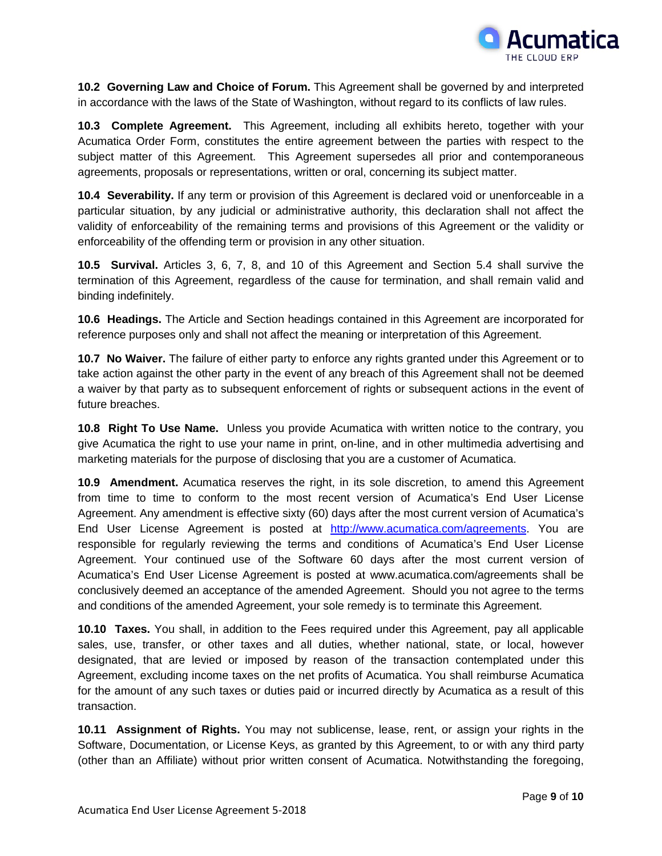

**10.2 Governing Law and Choice of Forum.** This Agreement shall be governed by and interpreted in accordance with the laws of the State of Washington, without regard to its conflicts of law rules.

**10.3 Complete Agreement.** This Agreement, including all exhibits hereto, together with your Acumatica Order Form, constitutes the entire agreement between the parties with respect to the subject matter of this Agreement. This Agreement supersedes all prior and contemporaneous agreements, proposals or representations, written or oral, concerning its subject matter.

**10.4 Severability.** If any term or provision of this Agreement is declared void or unenforceable in a particular situation, by any judicial or administrative authority, this declaration shall not affect the validity of enforceability of the remaining terms and provisions of this Agreement or the validity or enforceability of the offending term or provision in any other situation.

**10.5 Survival.** Articles 3, 6, 7, 8, and 10 of this Agreement and Section 5.4 shall survive the termination of this Agreement, regardless of the cause for termination, and shall remain valid and binding indefinitely.

**10.6 Headings.** The Article and Section headings contained in this Agreement are incorporated for reference purposes only and shall not affect the meaning or interpretation of this Agreement.

**10.7 No Waiver.** The failure of either party to enforce any rights granted under this Agreement or to take action against the other party in the event of any breach of this Agreement shall not be deemed a waiver by that party as to subsequent enforcement of rights or subsequent actions in the event of future breaches.

**10.8 Right To Use Name.** Unless you provide Acumatica with written notice to the contrary, you give Acumatica the right to use your name in print, on-line, and in other multimedia advertising and marketing materials for the purpose of disclosing that you are a customer of Acumatica.

**10.9 Amendment.** Acumatica reserves the right, in its sole discretion, to amend this Agreement from time to time to conform to the most recent version of Acumatica's End User License Agreement. Any amendment is effective sixty (60) days after the most current version of Acumatica's End User License Agreement is posted at [http://www.acumatica.com/agreements.](http://www.acumatica.com/agreements) You are responsible for regularly reviewing the terms and conditions of Acumatica's End User License Agreement. Your continued use of the Software 60 days after the most current version of Acumatica's End User License Agreement is posted at www.acumatica.com/agreements shall be conclusively deemed an acceptance of the amended Agreement. Should you not agree to the terms and conditions of the amended Agreement, your sole remedy is to terminate this Agreement.

**10.10 Taxes.** You shall, in addition to the Fees required under this Agreement, pay all applicable sales, use, transfer, or other taxes and all duties, whether national, state, or local, however designated, that are levied or imposed by reason of the transaction contemplated under this Agreement, excluding income taxes on the net profits of Acumatica. You shall reimburse Acumatica for the amount of any such taxes or duties paid or incurred directly by Acumatica as a result of this transaction.

**10.11 Assignment of Rights.** You may not sublicense, lease, rent, or assign your rights in the Software, Documentation, or License Keys, as granted by this Agreement, to or with any third party (other than an Affiliate) without prior written consent of Acumatica. Notwithstanding the foregoing,